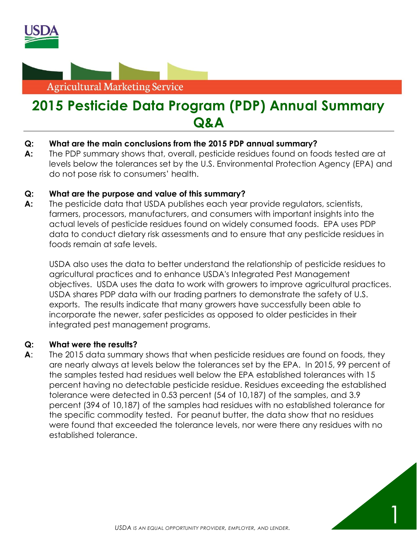



# **2015 Pesticide Data Program (PDP) Annual Summary Q&A**

# **Q: What are the main conclusions from the 2015 PDP annual summary?**

**A:** The PDP summary shows that, overall, pesticide residues found on foods tested are at levels below the tolerances set by the U.S. Environmental Protection Agency (EPA) and do not pose risk to consumers' health.

## **Q: What are the purpose and value of this summary?**

**A:** The pesticide data that USDA publishes each year provide regulators, scientists, farmers, processors, manufacturers, and consumers with important insights into the actual levels of pesticide residues found on widely consumed foods. EPA uses PDP data to conduct dietary risk assessments and to ensure that any pesticide residues in foods remain at safe levels.

USDA also uses the data to better understand the relationship of pesticide residues to agricultural practices and to enhance USDA's Integrated Pest Management objectives. USDA uses the data to work with growers to improve agricultural practices. USDA shares PDP data with our trading partners to demonstrate the safety of U.S. exports. The results indicate that many growers have successfully been able to incorporate the newer, safer pesticides as opposed to older pesticides in their integrated pest management programs.

#### **Q: What were the results?**

**A**: The 2015 data summary shows that when pesticide residues are found on foods, they are nearly always at levels below the tolerances set by the EPA. In 2015, 99 percent of the samples tested had residues well below the EPA established tolerances with 15 percent having no detectable pesticide residue. Residues exceeding the established tolerance were detected in 0.53 percent (54 of 10,187) of the samples, and 3.9 percent (394 of 10,187) of the samples had residues with no established tolerance for the specific commodity tested. For peanut butter, the data show that no residues were found that exceeded the tolerance levels, nor were there any residues with no established tolerance.

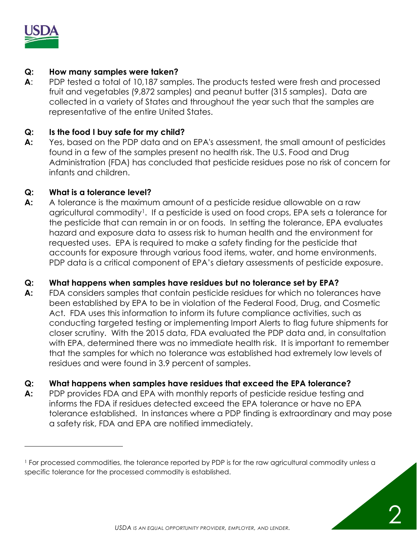

l

## **Q: How many samples were taken?**

**A**: PDP tested a total of 10,187 samples. The products tested were fresh and processed fruit and vegetables (9,872 samples) and peanut butter (315 samples). Data are collected in a variety of States and throughout the year such that the samples are representative of the entire United States.

### **Q: Is the food I buy safe for my child?**

**A:** Yes, based on the PDP data and on EPA's assessment, the small amount of pesticides found in a few of the samples present no health risk. The U.S. Food and Drug Administration (FDA) has concluded that pesticide residues pose no risk of concern for infants and children.

#### **Q: What is a tolerance level?**

**A:** A tolerance is the maximum amount of a pesticide residue allowable on a raw agricultural commodity<sup>1</sup>. If a pesticide is used on food crops, EPA sets a tolerance for the pesticide that can remain in or on foods. In setting the tolerance, EPA evaluates hazard and exposure data to assess risk to human health and the environment for requested uses. EPA is required to make a safety finding for the pesticide that accounts for exposure through various food items, water, and home environments. PDP data is a critical component of EPA's dietary assessments of pesticide exposure.

# **Q: What happens when samples have residues but no tolerance set by EPA?**

**A:** FDA considers samples that contain pesticide residues for which no tolerances have been established by EPA to be in violation of the Federal Food, Drug, and Cosmetic Act. FDA uses this information to inform its future compliance activities, such as conducting targeted testing or implementing Import Alerts to flag future shipments for closer scrutiny. With the 2015 data, FDA evaluated the PDP data and, in consultation with EPA, determined there was no immediate health risk. It is important to remember that the samples for which no tolerance was established had extremely low levels of residues and were found in 3.9 percent of samples.

#### **Q: What happens when samples have residues that exceed the EPA tolerance?**

**A:** PDP provides FDA and EPA with monthly reports of pesticide residue testing and informs the FDA if residues detected exceed the EPA tolerance or have no EPA tolerance established. In instances where a PDP finding is extraordinary and may pose a safety risk, FDA and EPA are notified immediately.

<sup>&</sup>lt;sup>1</sup> For processed commodities, the tolerance reported by PDP is for the raw agricultural commodity unless a specific tolerance for the processed commodity is established.